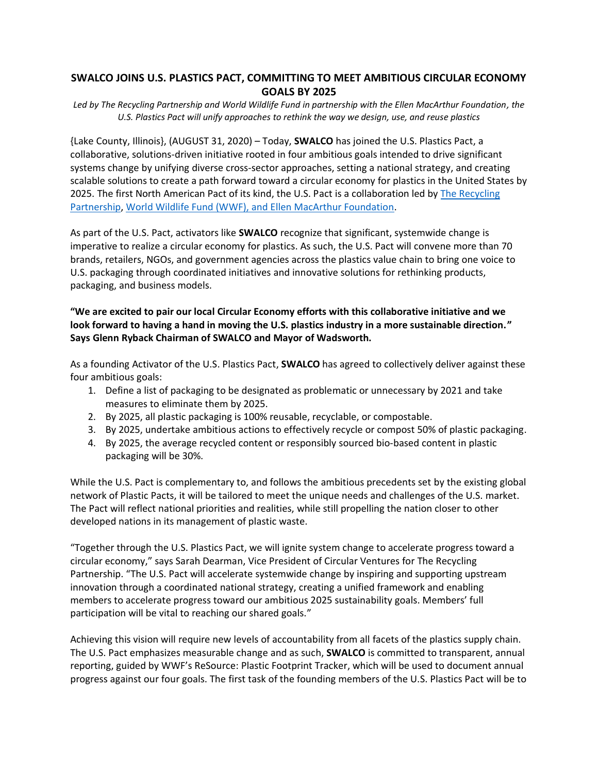## **SWALCO JOINS U.S. PLASTICS PACT, COMMITTING TO MEET AMBITIOUS CIRCULAR ECONOMY GOALS BY 2025**

*Led by The Recycling Partnership and World Wildlife Fund in partnership with the Ellen MacArthur Foundation, the U.S. Plastics Pact will unify approaches to rethink the way we design, use, and reuse plastics*

{Lake County, Illinois}, (AUGUST 31, 2020) – Today, **SWALCO** has joined the U.S. Plastics Pact, a collaborative, solutions-driven initiative rooted in four ambitious goals intended to drive significant systems change by unifying diverse cross-sector approaches, setting a national strategy, and creating scalable solutions to create a path forward toward a circular economy for plastics in the United States by 2025. The first North American Pact of its kind, the U.S. Pact is a collaboration led by [The Recycling](https://recyclingpartnership.org/)  [Partnership,](https://recyclingpartnership.org/) [World Wildlife Fund \(WWF\),](https://www.worldwildlife.org/) and [Ellen MacArthur Foundation.](https://www.ellenmacarthurfoundation.org/)

As part of the U.S. Pact, activators like **SWALCO** recognize that significant, systemwide change is imperative to realize a circular economy for plastics. As such, the U.S. Pact will convene more than 70 brands, retailers, NGOs, and government agencies across the plastics value chain to bring one voice to U.S. packaging through coordinated initiatives and innovative solutions for rethinking products, packaging, and business models.

## **"We are excited to pair our local Circular Economy efforts with this collaborative initiative and we look forward to having a hand in moving the U.S. plastics industry in a more sustainable direction." Says Glenn Ryback Chairman of SWALCO and Mayor of Wadsworth.**

As a founding Activator of the U.S. Plastics Pact, **SWALCO** has agreed to collectively deliver against these four ambitious goals:

- 1. Define a list of packaging to be designated as problematic or unnecessary by 2021 and take measures to eliminate them by 2025.
- 2. By 2025, all plastic packaging is 100% reusable, recyclable, or compostable.
- 3. By 2025, undertake ambitious actions to effectively recycle or compost 50% of plastic packaging.
- 4. By 2025, the average recycled content or responsibly sourced bio-based content in plastic packaging will be 30%.

While the U.S. Pact is complementary to, and follows the ambitious precedents set by the existing global network of Plastic Pacts, it will be tailored to meet the unique needs and challenges of the U.S. market. The Pact will reflect national priorities and realities, while still propelling the nation closer to other developed nations in its management of plastic waste.

"Together through the U.S. Plastics Pact, we will ignite system change to accelerate progress toward a circular economy," says Sarah Dearman, Vice President of Circular Ventures for The Recycling Partnership. "The U.S. Pact will accelerate systemwide change by inspiring and supporting upstream innovation through a coordinated national strategy, creating a unified framework and enabling members to accelerate progress toward our ambitious 2025 sustainability goals. Members' full participation will be vital to reaching our shared goals."

Achieving this vision will require new levels of accountability from all facets of the plastics supply chain. The U.S. Pact emphasizes measurable change and as such, **SWALCO** is committed to transparent, annual reporting, guided by WWF's ReSource: Plastic Footprint Tracker, which will be used to document annual progress against our four goals. The first task of the founding members of the U.S. Plastics Pact will be to